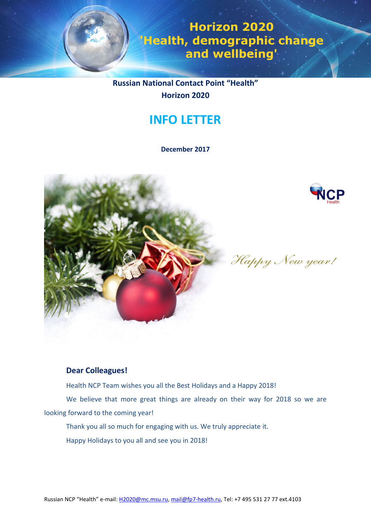

**Horizon 2020 'Health, demographic change and wellbeing'**

**Russian National Contact Point "Health" Horizon 2020**

# **INFO LETTER**

**December 2017**





Happy New year!

# **Dear Colleagues!**

Health NCP Team wishes you all the Best Holidays and a Happy 2018!

We believe that more great things are already on their way for 2018 so we are looking forward to the coming year!

Thank you all so much for engaging with us. We truly appreciate it.

Happy Holidays to you all and see you in 2018!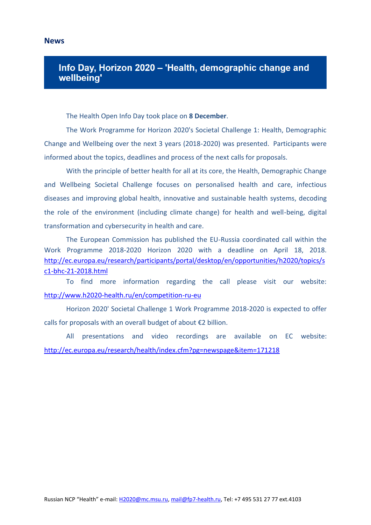# Info Day, Horizon 2020 - 'Health, demographic change and wellbeing'

The Health Open Info Day took place on **8 December**.

The Work Programme for Horizon 2020's Societal Challenge 1: Health, Demographic Change and Wellbeing over the next 3 years (2018-2020) was presented. Participants were informed about the topics, deadlines and process of the next calls for proposals.

With the principle of better health for all at its core, the Health, Demographic Change and Wellbeing Societal Challenge focuses on personalised health and care, infectious diseases and improving global health, innovative and sustainable health systems, decoding the role of the environment (including climate change) for health and well-being, digital transformation and cybersecurity in health and care.

The European Commission has published the EU-Russia coordinated call within the Work Programme 2018-2020 Horizon 2020 with a deadline on April 18, 2018. [http://ec.europa.eu/research/participants/portal/desktop/en/opportunities/h2020/topics/s](http://ec.europa.eu/research/participants/portal/desktop/en/opportunities/h2020/topics/sc1-bhc-21-2018.html) [c1-bhc-21-2018.html](http://ec.europa.eu/research/participants/portal/desktop/en/opportunities/h2020/topics/sc1-bhc-21-2018.html)

To find more information regarding the call please visit our website: <http://www.h2020-health.ru/en/competition-ru-eu>

Horizon 2020' Societal Challenge 1 Work Programme 2018-2020 is expected to offer calls for proposals with an overall budget of about €2 billion.

All presentations and video recordings are available on EC website: <http://ec.europa.eu/research/health/index.cfm?pg=newspage&item=171218>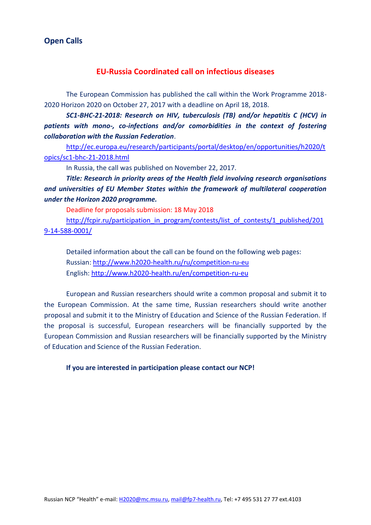# **Open Calls**

# **EU-Russia Coordinated call on infectious diseases**

The European Commission has published the call within the Work Programme 2018- 2020 Horizon 2020 on October 27, 2017 with a deadline on April 18, 2018.

*SC1-BHC-21-2018: Research on HIV, tuberculosis (TB) and/or hepatitis C (HCV) in patients with mono-, co-infections and/or comorbidities in the context of fostering collaboration with the Russian Federation*.

[http://ec.europa.eu/research/participants/portal/desktop/en/opportunities/h2020/t](http://ec.europa.eu/research/participants/portal/desktop/en/opportunities/h2020/topics/sc1-bhc-21-2018.html) [opics/sc1-bhc-21-2018.html](http://ec.europa.eu/research/participants/portal/desktop/en/opportunities/h2020/topics/sc1-bhc-21-2018.html)

In Russia, the call was published on November 22, 2017.

*Title: Research in priority areas of the Health field involving research organisations and universities of EU Member States within the framework of multilateral cooperation under the Horizon 2020 programme.*

Deadline for proposals submission: 18 May 2018

[http://fcpir.ru/participation\\_in\\_program/contests/list\\_of\\_contests/1\\_published/201](http://fcpir.ru/participation_in_program/contests/list_of_contests/1_published/2019-14-588-0001/) [9-14-588-0001/](http://fcpir.ru/participation_in_program/contests/list_of_contests/1_published/2019-14-588-0001/)

Detailed information about the call can be found on the following web pages: Russian: <http://www.h2020-health.ru/ru/competition-ru-eu> English: <http://www.h2020-health.ru/en/competition-ru-eu>

European and Russian researchers should write a common proposal and submit it to the European Commission. At the same time, Russian researchers should write another proposal and submit it to the Ministry of Education and Science of the Russian Federation. If the proposal is successful, European researchers will be financially supported by the European Commission and Russian researchers will be financially supported by the Ministry of Education and Science of the Russian Federation.

**If you are interested in participation please contact our NCP!**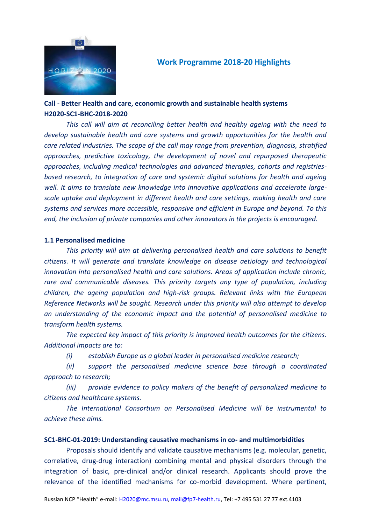

# **Work Programme 2018-20 Highlights**

# **Call - Better Health and care, economic growth and sustainable health systems H2020-SC1-BHC-2018-2020**

*This call will aim at reconciling better health and healthy ageing with the need to develop sustainable health and care systems and growth opportunities for the health and care related industries. The scope of the call may range from prevention, diagnosis, stratified approaches, predictive toxicology, the development of novel and repurposed therapeutic approaches, including medical technologies and advanced therapies, cohorts and registriesbased research, to integration of care and systemic digital solutions for health and ageing well. It aims to translate new knowledge into innovative applications and accelerate largescale uptake and deployment in different health and care settings, making health and care systems and services more accessible, responsive and efficient in Europe and beyond. To this end, the inclusion of private companies and other innovators in the projects is encouraged.*

### **1.1 Personalised medicine**

*This priority will aim at delivering personalised health and care solutions to benefit citizens. It will generate and translate knowledge on disease aetiology and technological innovation into personalised health and care solutions. Areas of application include chronic, rare and communicable diseases. This priority targets any type of population, including children, the ageing population and high-risk groups. Relevant links with the European Reference Networks will be sought. Research under this priority will also attempt to develop an understanding of the economic impact and the potential of personalised medicine to transform health systems.*

*The expected key impact of this priority is improved health outcomes for the citizens. Additional impacts are to:* 

*(i) establish Europe as a global leader in personalised medicine research;* 

*(ii) support the personalised medicine science base through a coordinated approach to research;* 

*(iii) provide evidence to policy makers of the benefit of personalized medicine to citizens and healthcare systems.* 

*The International Consortium on Personalised Medicine will be instrumental to achieve these aims.*

### **SC1-BHC-01-2019: Understanding causative mechanisms in co- and multimorbidities**

Proposals should identify and validate causative mechanisms (e.g. molecular, genetic, correlative, drug-drug interaction) combining mental and physical disorders through the integration of basic, pre-clinical and/or clinical research. Applicants should prove the relevance of the identified mechanisms for co-morbid development. Where pertinent,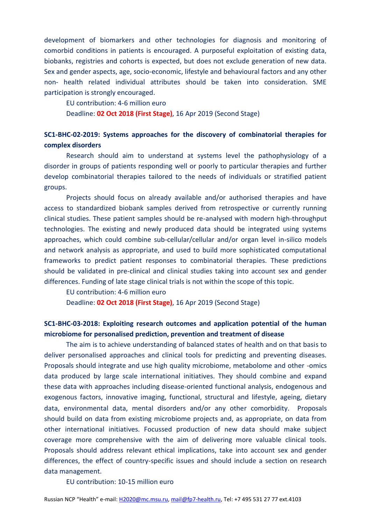development of biomarkers and other technologies for diagnosis and monitoring of comorbid conditions in patients is encouraged. A purposeful exploitation of existing data, biobanks, registries and cohorts is expected, but does not exclude generation of new data. Sex and gender aspects, age, socio-economic, lifestyle and behavioural factors and any other non- health related individual attributes should be taken into consideration. SME participation is strongly encouraged.

EU contribution: 4-6 million euro

Deadline: **02 Oct 2018 (First Stage)**, 16 Apr 2019 (Second Stage)

# **SC1-BHC-02-2019: Systems approaches for the discovery of combinatorial therapies for complex disorders**

Research should aim to understand at systems level the pathophysiology of a disorder in groups of patients responding well or poorly to particular therapies and further develop combinatorial therapies tailored to the needs of individuals or stratified patient groups.

Projects should focus on already available and/or authorised therapies and have access to standardized biobank samples derived from retrospective or currently running clinical studies. These patient samples should be re-analysed with modern high-throughput technologies. The existing and newly produced data should be integrated using systems approaches, which could combine sub-cellular/cellular and/or organ level in-silico models and network analysis as appropriate, and used to build more sophisticated computational frameworks to predict patient responses to combinatorial therapies. These predictions should be validated in pre-clinical and clinical studies taking into account sex and gender differences. Funding of late stage clinical trials is not within the scope of this topic.

EU contribution: 4-6 million euro

Deadline: **02 Oct 2018 (First Stage)**, 16 Apr 2019 (Second Stage)

# **SC1-BHC-03-2018: Exploiting research outcomes and application potential of the human microbiome for personalised prediction, prevention and treatment of disease**

The aim is to achieve understanding of balanced states of health and on that basis to deliver personalised approaches and clinical tools for predicting and preventing diseases. Proposals should integrate and use high quality microbiome, metabolome and other -omics data produced by large scale international initiatives. They should combine and expand these data with approaches including disease-oriented functional analysis, endogenous and exogenous factors, innovative imaging, functional, structural and lifestyle, ageing, dietary data, environmental data, mental disorders and/or any other comorbidity. Proposals should build on data from existing microbiome projects and, as appropriate, on data from other international initiatives. Focussed production of new data should make subject coverage more comprehensive with the aim of delivering more valuable clinical tools. Proposals should address relevant ethical implications, take into account sex and gender differences, the effect of country-specific issues and should include a section on research data management.

EU contribution: 10-15 million euro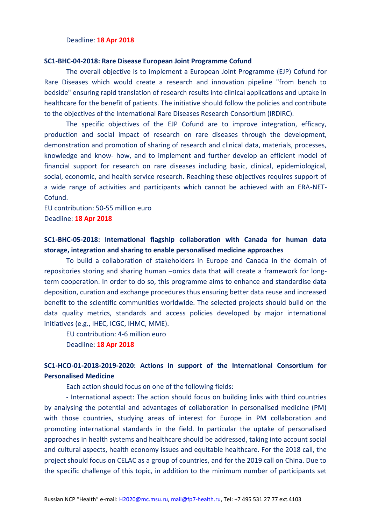#### Deadline: **18 Apr 2018**

#### **SC1-BHC-04-2018: Rare Disease European Joint Programme Cofund**

The overall objective is to implement a European Joint Programme (EJP) Cofund for Rare Diseases which would create a research and innovation pipeline "from bench to bedside" ensuring rapid translation of research results into clinical applications and uptake in healthcare for the benefit of patients. The initiative should follow the policies and contribute to the objectives of the International Rare Diseases Research Consortium (IRDiRC).

The specific objectives of the EJP Cofund are to improve integration, efficacy, production and social impact of research on rare diseases through the development, demonstration and promotion of sharing of research and clinical data, materials, processes, knowledge and know- how, and to implement and further develop an efficient model of financial support for research on rare diseases including basic, clinical, epidemiological, social, economic, and health service research. Reaching these objectives requires support of a wide range of activities and participants which cannot be achieved with an ERA-NET-Cofund.

EU contribution: 50-55 million euro Deadline: **18 Apr 2018**

### **SC1-BHC-05-2018: International flagship collaboration with Canada for human data storage, integration and sharing to enable personalised medicine approaches**

To build a collaboration of stakeholders in Europe and Canada in the domain of repositories storing and sharing human –omics data that will create a framework for longterm cooperation. In order to do so, this programme aims to enhance and standardise data deposition, curation and exchange procedures thus ensuring better data reuse and increased benefit to the scientific communities worldwide. The selected projects should build on the data quality metrics, standards and access policies developed by major international initiatives (e.g., IHEC, ICGC, IHMC, MME).

EU contribution: 4-6 million euro

Deadline: **18 Apr 2018**

# **SC1-HCO-01-2018-2019-2020: Actions in support of the International Consortium for Personalised Medicine**

Each action should focus on one of the following fields:

- International aspect: The action should focus on building links with third countries by analysing the potential and advantages of collaboration in personalised medicine (PM) with those countries, studying areas of interest for Europe in PM collaboration and promoting international standards in the field. In particular the uptake of personalised approaches in health systems and healthcare should be addressed, taking into account social and cultural aspects, health economy issues and equitable healthcare. For the 2018 call, the project should focus on CELAC as a group of countries, and for the 2019 call on China. Due to the specific challenge of this topic, in addition to the minimum number of participants set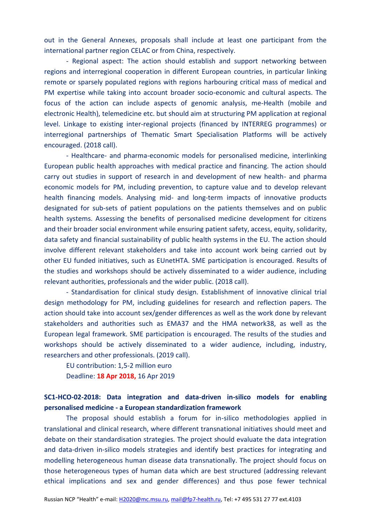out in the General Annexes, proposals shall include at least one participant from the international partner region CELAC or from China, respectively.

- Regional aspect: The action should establish and support networking between regions and interregional cooperation in different European countries, in particular linking remote or sparsely populated regions with regions harbouring critical mass of medical and PM expertise while taking into account broader socio-economic and cultural aspects. The focus of the action can include aspects of genomic analysis, me-Health (mobile and electronic Health), telemedicine etc. but should aim at structuring PM application at regional level. Linkage to existing inter-regional projects (financed by INTERREG programmes) or interregional partnerships of Thematic Smart Specialisation Platforms will be actively encouraged. (2018 call).

- Healthcare- and pharma-economic models for personalised medicine, interlinking European public health approaches with medical practice and financing. The action should carry out studies in support of research in and development of new health- and pharma economic models for PM, including prevention, to capture value and to develop relevant health financing models. Analysing mid- and long-term impacts of innovative products designated for sub-sets of patient populations on the patients themselves and on public health systems. Assessing the benefits of personalised medicine development for citizens and their broader social environment while ensuring patient safety, access, equity, solidarity, data safety and financial sustainability of public health systems in the EU. The action should involve different relevant stakeholders and take into account work being carried out by other EU funded initiatives, such as EUnetHTA. SME participation is encouraged. Results of the studies and workshops should be actively disseminated to a wider audience, including relevant authorities, professionals and the wider public. (2018 call).

- Standardisation for clinical study design. Establishment of innovative clinical trial design methodology for PM, including guidelines for research and reflection papers. The action should take into account sex/gender differences as well as the work done by relevant stakeholders and authorities such as EMA37 and the HMA network38, as well as the European legal framework. SME participation is encouraged. The results of the studies and workshops should be actively disseminated to a wider audience, including, industry, researchers and other professionals. (2019 call).

EU contribution: 1,5-2 million euro Deadline: **18 Apr 2018,** 16 Apr 2019

# **SC1-HCO-02-2018: Data integration and data-driven in-silico models for enabling personalised medicine - a European standardization framework**

The proposal should establish a forum for in-silico methodologies applied in translational and clinical research, where different transnational initiatives should meet and debate on their standardisation strategies. The project should evaluate the data integration and data-driven in-silico models strategies and identify best practices for integrating and modelling heterogeneous human disease data transnationally. The project should focus on those heterogeneous types of human data which are best structured (addressing relevant ethical implications and sex and gender differences) and thus pose fewer technical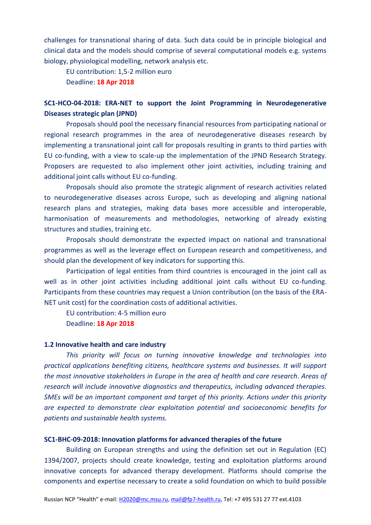challenges for transnational sharing of data. Such data could be in principle biological and clinical data and the models should comprise of several computational models e.g. systems biology, physiological modelling, network analysis etc.

EU contribution: 1,5-2 million euro

Deadline: **18 Apr 2018**

## **SC1-HCO-04-2018: ERA-NET to support the Joint Programming in Neurodegenerative Diseases strategic plan (JPND)**

Proposals should pool the necessary financial resources from participating national or regional research programmes in the area of neurodegenerative diseases research by implementing a transnational joint call for proposals resulting in grants to third parties with EU co-funding, with a view to scale-up the implementation of the JPND Research Strategy. Proposers are requested to also implement other joint activities, including training and additional joint calls without EU co-funding.

Proposals should also promote the strategic alignment of research activities related to neurodegenerative diseases across Europe, such as developing and aligning national research plans and strategies, making data bases more accessible and interoperable, harmonisation of measurements and methodologies, networking of already existing structures and studies, training etc.

Proposals should demonstrate the expected impact on national and transnational programmes as well as the leverage effect on European research and competitiveness, and should plan the development of key indicators for supporting this.

Participation of legal entities from third countries is encouraged in the joint call as well as in other joint activities including additional joint calls without EU co-funding. Participants from these countries may request a Union contribution (on the basis of the ERA-NET unit cost) for the coordination costs of additional activities.

EU contribution: 4-5 million euro

Deadline: **18 Apr 2018**

#### **1.2 Innovative health and care industry**

*This priority will focus on turning innovative knowledge and technologies into practical applications benefiting citizens, healthcare systems and businesses. It will support the most innovative stakeholders in Europe in the area of health and care research. Areas of research will include innovative diagnostics and therapeutics, including advanced therapies. SMEs will be an important component and target of this priority. Actions under this priority are expected to demonstrate clear exploitation potential and socioeconomic benefits for patients and sustainable health systems.* 

#### **SC1-BHC-09-2018: Innovation platforms for advanced therapies of the future**

Building on European strengths and using the definition set out in Regulation (EC) 1394/2007, projects should create knowledge, testing and exploitation platforms around innovative concepts for advanced therapy development. Platforms should comprise the components and expertise necessary to create a solid foundation on which to build possible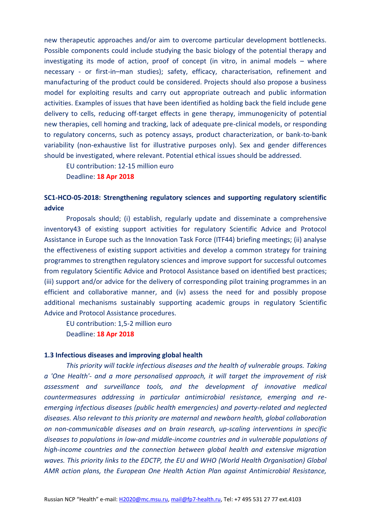new therapeutic approaches and/or aim to overcome particular development bottlenecks. Possible components could include studying the basic biology of the potential therapy and investigating its mode of action, proof of concept (in vitro, in animal models – where necessary - or first-in–man studies); safety, efficacy, characterisation, refinement and manufacturing of the product could be considered. Projects should also propose a business model for exploiting results and carry out appropriate outreach and public information activities. Examples of issues that have been identified as holding back the field include gene delivery to cells, reducing off-target effects in gene therapy, immunogenicity of potential new therapies, cell homing and tracking, lack of adequate pre-clinical models, or responding to regulatory concerns, such as potency assays, product characterization, or bank-to-bank variability (non-exhaustive list for illustrative purposes only). Sex and gender differences should be investigated, where relevant. Potential ethical issues should be addressed.

EU contribution: 12-15 million euro Deadline: **18 Apr 2018**

### **SC1-HCO-05-2018: Strengthening regulatory sciences and supporting regulatory scientific advice**

Proposals should; (i) establish, regularly update and disseminate a comprehensive inventory43 of existing support activities for regulatory Scientific Advice and Protocol Assistance in Europe such as the Innovation Task Force (ITF44) briefing meetings; (ii) analyse the effectiveness of existing support activities and develop a common strategy for training programmes to strengthen regulatory sciences and improve support for successful outcomes from regulatory Scientific Advice and Protocol Assistance based on identified best practices; (iii) support and/or advice for the delivery of corresponding pilot training programmes in an efficient and collaborative manner, and (iv) assess the need for and possibly propose additional mechanisms sustainably supporting academic groups in regulatory Scientific Advice and Protocol Assistance procedures.

EU contribution: 1,5-2 million euro Deadline: **18 Apr 2018**

#### **1.3 Infectious diseases and improving global health**

*This priority will tackle infectious diseases and the health of vulnerable groups. Taking a 'One Health'- and a more personalised approach, it will target the improvement of risk assessment and surveillance tools, and the development of innovative medical countermeasures addressing in particular antimicrobial resistance, emerging and reemerging infectious diseases (public health emergencies) and poverty-related and neglected diseases. Also relevant to this priority are maternal and newborn health, global collaboration on non-communicable diseases and on brain research, up-scaling interventions in specific diseases to populations in low-and middle-income countries and in vulnerable populations of high-income countries and the connection between global health and extensive migration waves. This priority links to the EDCTP, the EU and WHO (World Health Organisation) Global AMR action plans, the European One Health Action Plan against Antimicrobial Resistance,*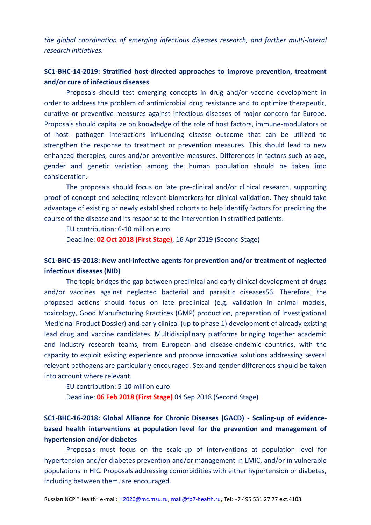*the global coordination of emerging infectious diseases research, and further multi-lateral research initiatives.*

# **SC1-BHC-14-2019: Stratified host-directed approaches to improve prevention, treatment and/or cure of infectious diseases**

Proposals should test emerging concepts in drug and/or vaccine development in order to address the problem of antimicrobial drug resistance and to optimize therapeutic, curative or preventive measures against infectious diseases of major concern for Europe. Proposals should capitalize on knowledge of the role of host factors, immune-modulators or of host- pathogen interactions influencing disease outcome that can be utilized to strengthen the response to treatment or prevention measures. This should lead to new enhanced therapies, cures and/or preventive measures. Differences in factors such as age, gender and genetic variation among the human population should be taken into consideration.

The proposals should focus on late pre-clinical and/or clinical research, supporting proof of concept and selecting relevant biomarkers for clinical validation. They should take advantage of existing or newly established cohorts to help identify factors for predicting the course of the disease and its response to the intervention in stratified patients.

EU contribution: 6-10 million euro

Deadline: **02 Oct 2018 (First Stage)**, 16 Apr 2019 (Second Stage)

# **SC1-BHC-15-2018: New anti-infective agents for prevention and/or treatment of neglected infectious diseases (NID)**

The topic bridges the gap between preclinical and early clinical development of drugs and/or vaccines against neglected bacterial and parasitic diseases56. Therefore, the proposed actions should focus on late preclinical (e.g. validation in animal models, toxicology, Good Manufacturing Practices (GMP) production, preparation of Investigational Medicinal Product Dossier) and early clinical (up to phase 1) development of already existing lead drug and vaccine candidates. Multidisciplinary platforms bringing together academic and industry research teams, from European and disease-endemic countries, with the capacity to exploit existing experience and propose innovative solutions addressing several relevant pathogens are particularly encouraged. Sex and gender differences should be taken into account where relevant.

EU contribution: 5-10 million euro

Deadline: **06 Feb 2018 (First Stage)** 04 Sep 2018 (Second Stage)

# **SC1-BHC-16-2018: Global Alliance for Chronic Diseases (GACD) - Scaling-up of evidencebased health interventions at population level for the prevention and management of hypertension and/or diabetes**

Proposals must focus on the scale-up of interventions at population level for hypertension and/or diabetes prevention and/or management in LMIC, and/or in vulnerable populations in HIC. Proposals addressing comorbidities with either hypertension or diabetes, including between them, are encouraged.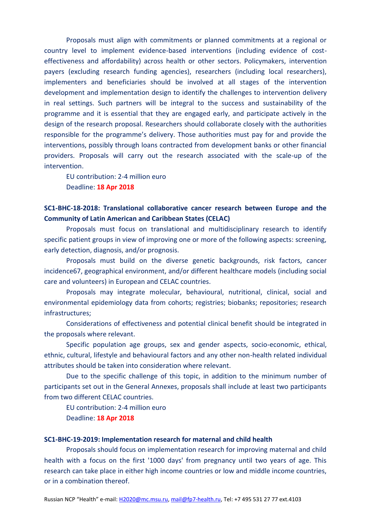Proposals must align with commitments or planned commitments at a regional or country level to implement evidence-based interventions (including evidence of costeffectiveness and affordability) across health or other sectors. Policymakers, intervention payers (excluding research funding agencies), researchers (including local researchers), implementers and beneficiaries should be involved at all stages of the intervention development and implementation design to identify the challenges to intervention delivery in real settings. Such partners will be integral to the success and sustainability of the programme and it is essential that they are engaged early, and participate actively in the design of the research proposal. Researchers should collaborate closely with the authorities responsible for the programme's delivery. Those authorities must pay for and provide the interventions, possibly through loans contracted from development banks or other financial providers. Proposals will carry out the research associated with the scale-up of the intervention.

EU contribution: 2-4 million euro Deadline: **18 Apr 2018**

# **SC1-BHC-18-2018: Translational collaborative cancer research between Europe and the Community of Latin American and Caribbean States (CELAC)**

Proposals must focus on translational and multidisciplinary research to identify specific patient groups in view of improving one or more of the following aspects: screening, early detection, diagnosis, and/or prognosis.

Proposals must build on the diverse genetic backgrounds, risk factors, cancer incidence67, geographical environment, and/or different healthcare models (including social care and volunteers) in European and CELAC countries.

Proposals may integrate molecular, behavioural, nutritional, clinical, social and environmental epidemiology data from cohorts; registries; biobanks; repositories; research infrastructures;

Considerations of effectiveness and potential clinical benefit should be integrated in the proposals where relevant.

Specific population age groups, sex and gender aspects, socio-economic, ethical, ethnic, cultural, lifestyle and behavioural factors and any other non-health related individual attributes should be taken into consideration where relevant.

Due to the specific challenge of this topic, in addition to the minimum number of participants set out in the General Annexes, proposals shall include at least two participants from two different CELAC countries.

EU contribution: 2-4 million euro Deadline: **18 Apr 2018**

#### **SC1-BHC-19-2019: Implementation research for maternal and child health**

Proposals should focus on implementation research for improving maternal and child health with a focus on the first '1000 days' from pregnancy until two years of age. This research can take place in either high income countries or low and middle income countries, or in a combination thereof.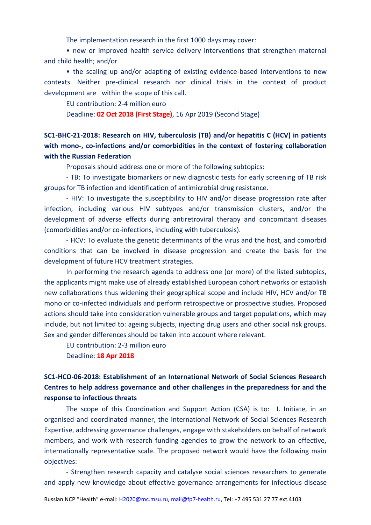The implementation research in the first 1000 days may cover:

• new or improved health service delivery interventions that strengthen maternal and child health; and/or

• the scaling up and/or adapting of existing evidence-based interventions to new contexts. Neither pre-clinical research nor clinical trials in the context of product development are within the scope of this call.

EU contribution: 2-4 million euro

Deadline: **02 Oct 2018 (First Stage)**, 16 Apr 2019 (Second Stage)

**SC1-BHC-21-2018: Research on HIV, tuberculosis (TB) and/or hepatitis C (HCV) in patients with mono-, co-infections and/or comorbidities in the context of fostering collaboration with the Russian Federation**

Proposals should address one or more of the following subtopics:

- TB: To investigate biomarkers or new diagnostic tests for early screening of TB risk groups for TB infection and identification of antimicrobial drug resistance.

- HIV: To investigate the susceptibility to HIV and/or disease progression rate after infection, including various HIV subtypes and/or transmission clusters, and/or the development of adverse effects during antiretroviral therapy and concomitant diseases (comorbidities and/or co-infections, including with tuberculosis).

- HCV: To evaluate the genetic determinants of the virus and the host, and comorbid conditions that can be involved in disease progression and create the basis for the development of future HCV treatment strategies.

In performing the research agenda to address one (or more) of the listed subtopics, the applicants might make use of already established European cohort networks or establish new collaborations thus widening their geographical scope and include HIV, HCV and/or TB mono or co-infected individuals and perform retrospective or prospective studies. Proposed actions should take into consideration vulnerable groups and target populations, which may include, but not limited to: ageing subjects, injecting drug users and other social risk groups. Sex and gender differences should be taken into account where relevant.

EU contribution: 2-3 million euro

Deadline: **18 Apr 2018**

# **SC1-HCO-06-2018: Establishment of an International Network of Social Sciences Research Centres to help address governance and other challenges in the preparedness for and the response to infectious threats**

The scope of this Coordination and Support Action (CSA) is to: I. Initiate, in an organised and coordinated manner, the International Network of Social Sciences Research Expertise, addressing governance challenges, engage with stakeholders on behalf of network members, and work with research funding agencies to grow the network to an effective, internationally representative scale. The proposed network would have the following main objectives:

- Strengthen research capacity and catalyse social sciences researchers to generate and apply new knowledge about effective governance arrangements for infectious disease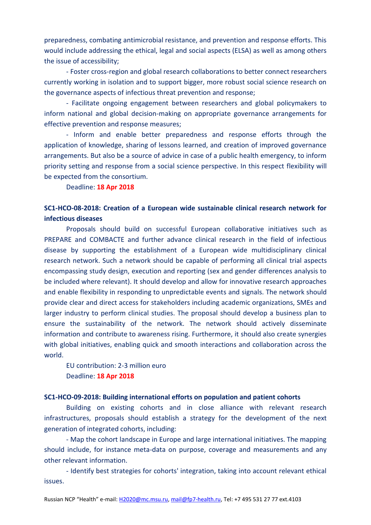preparedness, combating antimicrobial resistance, and prevention and response efforts. This would include addressing the ethical, legal and social aspects (ELSA) as well as among others the issue of accessibility;

- Foster cross-region and global research collaborations to better connect researchers currently working in isolation and to support bigger, more robust social science research on the governance aspects of infectious threat prevention and response;

- Facilitate ongoing engagement between researchers and global policymakers to inform national and global decision-making on appropriate governance arrangements for effective prevention and response measures;

- Inform and enable better preparedness and response efforts through the application of knowledge, sharing of lessons learned, and creation of improved governance arrangements. But also be a source of advice in case of a public health emergency, to inform priority setting and response from a social science perspective. In this respect flexibility will be expected from the consortium.

Deadline: **18 Apr 2018**

# **SC1-HCO-08-2018: Creation of a European wide sustainable clinical research network for infectious diseases**

Proposals should build on successful European collaborative initiatives such as PREPARE and COMBACTE and further advance clinical research in the field of infectious disease by supporting the establishment of a European wide multidisciplinary clinical research network. Such a network should be capable of performing all clinical trial aspects encompassing study design, execution and reporting (sex and gender differences analysis to be included where relevant). It should develop and allow for innovative research approaches and enable flexibility in responding to unpredictable events and signals. The network should provide clear and direct access for stakeholders including academic organizations, SMEs and larger industry to perform clinical studies. The proposal should develop a business plan to ensure the sustainability of the network. The network should actively disseminate information and contribute to awareness rising. Furthermore, it should also create synergies with global initiatives, enabling quick and smooth interactions and collaboration across the world.

EU contribution: 2-3 million euro Deadline: **18 Apr 2018**

#### **SC1-HCO-09-2018: Building international efforts on population and patient cohorts**

Building on existing cohorts and in close alliance with relevant research infrastructures, proposals should establish a strategy for the development of the next generation of integrated cohorts, including:

- Map the cohort landscape in Europe and large international initiatives. The mapping should include, for instance meta-data on purpose, coverage and measurements and any other relevant information.

- Identify best strategies for cohorts' integration, taking into account relevant ethical issues.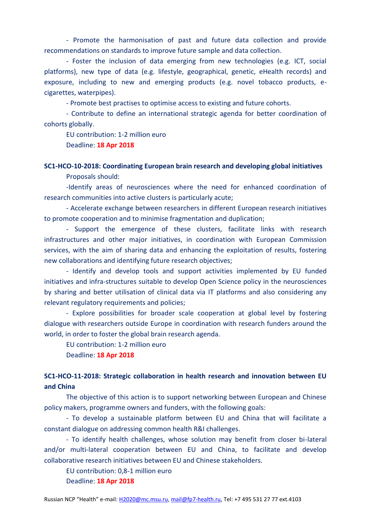- Promote the harmonisation of past and future data collection and provide recommendations on standards to improve future sample and data collection.

- Foster the inclusion of data emerging from new technologies (e.g. ICT, social platforms), new type of data (e.g. lifestyle, geographical, genetic, eHealth records) and exposure, including to new and emerging products (e.g. novel tobacco products, ecigarettes, waterpipes).

- Promote best practises to optimise access to existing and future cohorts.

- Contribute to define an international strategic agenda for better coordination of cohorts globally.

EU contribution: 1-2 million euro

Deadline: **18 Apr 2018**

# **SC1-HCO-10-2018: Coordinating European brain research and developing global initiatives**

Proposals should:

-Identify areas of neurosciences where the need for enhanced coordination of research communities into active clusters is particularly acute;

- Accelerate exchange between researchers in different European research initiatives to promote cooperation and to minimise fragmentation and duplication;

- Support the emergence of these clusters, facilitate links with research infrastructures and other major initiatives, in coordination with European Commission services, with the aim of sharing data and enhancing the exploitation of results, fostering new collaborations and identifying future research objectives;

- Identify and develop tools and support activities implemented by EU funded initiatives and infra-structures suitable to develop Open Science policy in the neurosciences by sharing and better utilisation of clinical data via IT platforms and also considering any relevant regulatory requirements and policies;

- Explore possibilities for broader scale cooperation at global level by fostering dialogue with researchers outside Europe in coordination with research funders around the world, in order to foster the global brain research agenda.

EU contribution: 1-2 million euro

Deadline: **18 Apr 2018**

## **SC1-HCO-11-2018: Strategic collaboration in health research and innovation between EU and China**

The objective of this action is to support networking between European and Chinese policy makers, programme owners and funders, with the following goals:

- To develop a sustainable platform between EU and China that will facilitate a constant dialogue on addressing common health R&I challenges.

- To identify health challenges, whose solution may benefit from closer bi-lateral and/or multi-lateral cooperation between EU and China, to facilitate and develop collaborative research initiatives between EU and Chinese stakeholders.

EU contribution: 0,8-1 million euro

Deadline: **18 Apr 2018**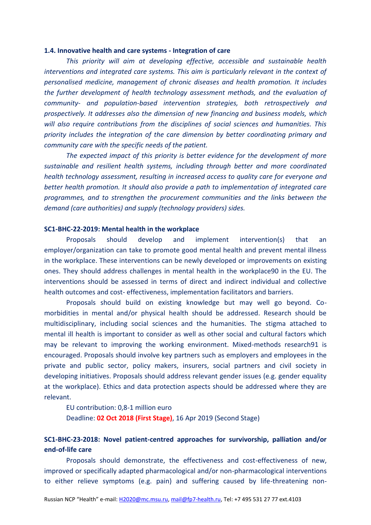#### **1.4. Innovative health and care systems - Integration of care**

*This priority will aim at developing effective, accessible and sustainable health interventions and integrated care systems. This aim is particularly relevant in the context of personalised medicine, management of chronic diseases and health promotion. It includes the further development of health technology assessment methods, and the evaluation of community- and population-based intervention strategies, both retrospectively and prospectively. It addresses also the dimension of new financing and business models, which will also require contributions from the disciplines of social sciences and humanities. This priority includes the integration of the care dimension by better coordinating primary and community care with the specific needs of the patient.*

*The expected impact of this priority is better evidence for the development of more sustainable and resilient health systems, including through better and more coordinated health technology assessment, resulting in increased access to quality care for everyone and better health promotion. It should also provide a path to implementation of integrated care programmes, and to strengthen the procurement communities and the links between the demand (care authorities) and supply (technology providers) sides.*

#### **SC1-BHC-22-2019: Mental health in the workplace**

Proposals should develop and implement intervention(s) that an employer/organization can take to promote good mental health and prevent mental illness in the workplace. These interventions can be newly developed or improvements on existing ones. They should address challenges in mental health in the workplace90 in the EU. The interventions should be assessed in terms of direct and indirect individual and collective health outcomes and cost- effectiveness, implementation facilitators and barriers.

Proposals should build on existing knowledge but may well go beyond. Comorbidities in mental and/or physical health should be addressed. Research should be multidisciplinary, including social sciences and the humanities. The stigma attached to mental ill health is important to consider as well as other social and cultural factors which may be relevant to improving the working environment. Mixed-methods research91 is encouraged. Proposals should involve key partners such as employers and employees in the private and public sector, policy makers, insurers, social partners and civil society in developing initiatives. Proposals should address relevant gender issues (e.g. gender equality at the workplace). Ethics and data protection aspects should be addressed where they are relevant.

EU contribution: 0,8-1 million euro

Deadline: **02 Oct 2018 (First Stage)**, 16 Apr 2019 (Second Stage)

### **SC1-BHC-23-2018: Novel patient-centred approaches for survivorship, palliation and/or end-of-life care**

Proposals should demonstrate, the effectiveness and cost-effectiveness of new, improved or specifically adapted pharmacological and/or non-pharmacological interventions to either relieve symptoms (e.g. pain) and suffering caused by life-threatening non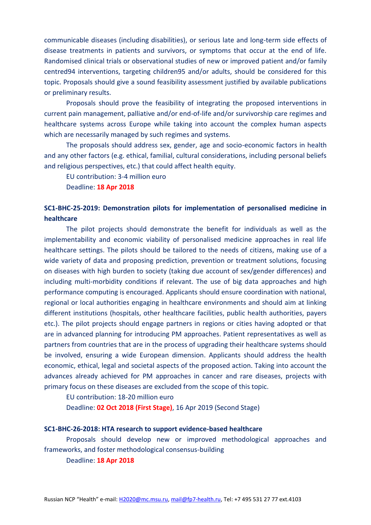communicable diseases (including disabilities), or serious late and long-term side effects of disease treatments in patients and survivors, or symptoms that occur at the end of life. Randomised clinical trials or observational studies of new or improved patient and/or family centred94 interventions, targeting children95 and/or adults, should be considered for this topic. Proposals should give a sound feasibility assessment justified by available publications or preliminary results.

Proposals should prove the feasibility of integrating the proposed interventions in current pain management, palliative and/or end-of-life and/or survivorship care regimes and healthcare systems across Europe while taking into account the complex human aspects which are necessarily managed by such regimes and systems.

The proposals should address sex, gender, age and socio-economic factors in health and any other factors (e.g. ethical, familial, cultural considerations, including personal beliefs and religious perspectives, etc.) that could affect health equity.

EU contribution: 3-4 million euro

Deadline: **18 Apr 2018**

# **SC1-BHC-25-2019: Demonstration pilots for implementation of personalised medicine in healthcare**

The pilot projects should demonstrate the benefit for individuals as well as the implementability and economic viability of personalised medicine approaches in real life healthcare settings. The pilots should be tailored to the needs of citizens, making use of a wide variety of data and proposing prediction, prevention or treatment solutions, focusing on diseases with high burden to society (taking due account of sex/gender differences) and including multi-morbidity conditions if relevant. The use of big data approaches and high performance computing is encouraged. Applicants should ensure coordination with national, regional or local authorities engaging in healthcare environments and should aim at linking different institutions (hospitals, other healthcare facilities, public health authorities, payers etc.). The pilot projects should engage partners in regions or cities having adopted or that are in advanced planning for introducing PM approaches. Patient representatives as well as partners from countries that are in the process of upgrading their healthcare systems should be involved, ensuring a wide European dimension. Applicants should address the health economic, ethical, legal and societal aspects of the proposed action. Taking into account the advances already achieved for PM approaches in cancer and rare diseases, projects with primary focus on these diseases are excluded from the scope of this topic.

EU contribution: 18-20 million euro

Deadline: **02 Oct 2018 (First Stage)**, 16 Apr 2019 (Second Stage)

#### **SC1-BHC-26-2018: HTA research to support evidence-based healthcare**

Proposals should develop new or improved methodological approaches and frameworks, and foster methodological consensus-building

Deadline: **18 Apr 2018**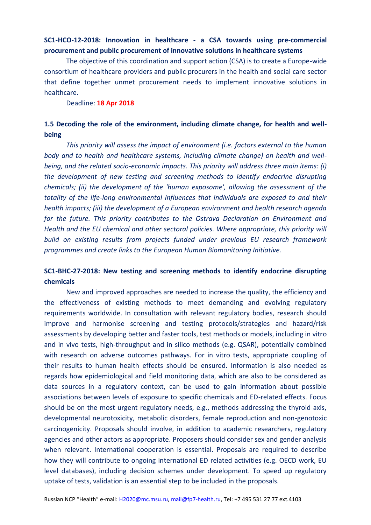### **SC1-HCO-12-2018: Innovation in healthcare - a CSA towards using pre-commercial procurement and public procurement of innovative solutions in healthcare systems**

The objective of this coordination and support action (CSA) is to create a Europe-wide consortium of healthcare providers and public procurers in the health and social care sector that define together unmet procurement needs to implement innovative solutions in healthcare.

Deadline: **18 Apr 2018**

# **1.5 Decoding the role of the environment, including climate change, for health and wellbeing**

*This priority will assess the impact of environment (i.e. factors external to the human body and to health and healthcare systems, including climate change) on health and wellbeing, and the related socio-economic impacts. This priority will address three main items: (i) the development of new testing and screening methods to identify endocrine disrupting chemicals; (ii) the development of the 'human exposome', allowing the assessment of the totality of the life-long environmental influences that individuals are exposed to and their health impacts; (iii) the development of a European environment and health research agenda for the future. This priority contributes to the Ostrava Declaration on Environment and Health and the EU chemical and other sectoral policies. Where appropriate, this priority will build on existing results from projects funded under previous EU research framework programmes and create links to the European Human Biomonitoring Initiative.* 

# **SC1-BHC-27-2018: New testing and screening methods to identify endocrine disrupting chemicals**

New and improved approaches are needed to increase the quality, the efficiency and the effectiveness of existing methods to meet demanding and evolving regulatory requirements worldwide. In consultation with relevant regulatory bodies, research should improve and harmonise screening and testing protocols/strategies and hazard/risk assessments by developing better and faster tools, test methods or models, including in vitro and in vivo tests, high-throughput and in silico methods (e.g. QSAR), potentially combined with research on adverse outcomes pathways. For in vitro tests, appropriate coupling of their results to human health effects should be ensured. Information is also needed as regards how epidemiological and field monitoring data, which are also to be considered as data sources in a regulatory context, can be used to gain information about possible associations between levels of exposure to specific chemicals and ED-related effects. Focus should be on the most urgent regulatory needs, e.g., methods addressing the thyroid axis, developmental neurotoxicity, metabolic disorders, female reproduction and non-genotoxic carcinogenicity. Proposals should involve, in addition to academic researchers, regulatory agencies and other actors as appropriate. Proposers should consider sex and gender analysis when relevant. International cooperation is essential. Proposals are required to describe how they will contribute to ongoing international ED related activities (e.g. OECD work, EU level databases), including decision schemes under development. To speed up regulatory uptake of tests, validation is an essential step to be included in the proposals.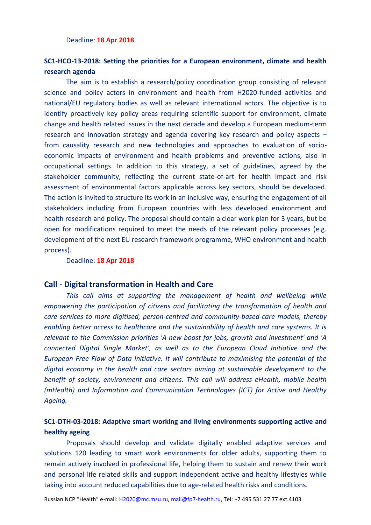#### Deadline: **18 Apr 2018**

# **SC1-HCO-13-2018: Setting the priorities for a European environment, climate and health research agenda**

The aim is to establish a research/policy coordination group consisting of relevant science and policy actors in environment and health from H2020-funded activities and national/EU regulatory bodies as well as relevant international actors. The objective is to identify proactively key policy areas requiring scientific support for environment, climate change and health related issues in the next decade and develop a European medium-term research and innovation strategy and agenda covering key research and policy aspects – from causality research and new technologies and approaches to evaluation of socioeconomic impacts of environment and health problems and preventive actions, also in occupational settings. In addition to this strategy, a set of guidelines, agreed by the stakeholder community, reflecting the current state-of-art for health impact and risk assessment of environmental factors applicable across key sectors, should be developed. The action is invited to structure its work in an inclusive way, ensuring the engagement of all stakeholders including from European countries with less developed environment and health research and policy. The proposal should contain a clear work plan for 3 years, but be open for modifications required to meet the needs of the relevant policy processes (e.g. development of the next EU research framework programme, WHO environment and health process).

#### Deadline: **18 Apr 2018**

### **Call - Digital transformation in Health and Care**

*This call aims at supporting the management of health and wellbeing while empowering the participation of citizens and facilitating the transformation of health and care services to more digitised, person-centred and community-based care models, thereby enabling better access to healthcare and the sustainability of health and care systems. It is relevant to the Commission priorities 'A new boost for jobs, growth and investment' and 'A connected Digital Single Market', as well as to the European Cloud Initiative and the European Free Flow of Data Initiative. It will contribute to maximising the potential of the digital economy in the health and care sectors aiming at sustainable development to the benefit of society, environment and citizens. This call will address eHealth, mobile health (mHealth) and Information and Communication Technologies (ICT) for Active and Healthy Ageing.*

# **SC1-DTH-03-2018: Adaptive smart working and living environments supporting active and healthy ageing**

Proposals should develop and validate digitally enabled adaptive services and solutions 120 leading to smart work environments for older adults, supporting them to remain actively involved in professional life, helping them to sustain and renew their work and personal life related skills and support independent active and healthy lifestyles while taking into account reduced capabilities due to age-related health risks and conditions.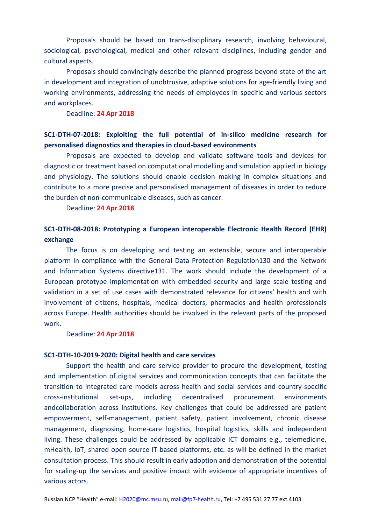Proposals should be based on trans-disciplinary research, involving behavioural, sociological, psychological, medical and other relevant disciplines, including gender and cultural aspects.

Proposals should convincingly describe the planned progress beyond state of the art in development and integration of unobtrusive, adaptive solutions for age-friendly living and working environments, addressing the needs of employees in specific and various sectors and workplaces.

Deadline: **24 Apr 2018**

# **SC1-DTH-07-2018: Exploiting the full potential of in-silico medicine research for personalised diagnostics and therapies in cloud-based environments**

Proposals are expected to develop and validate software tools and devices for diagnostic or treatment based on computational modelling and simulation applied in biology and physiology. The solutions should enable decision making in complex situations and contribute to a more precise and personalised management of diseases in order to reduce the burden of non-communicable diseases, such as cancer.

#### Deadline: **24 Apr 2018**

# **SC1-DTH-08-2018: Prototyping a European interoperable Electronic Health Record (EHR) exchange**

The focus is on developing and testing an extensible, secure and interoperable platform in compliance with the General Data Protection Regulation130 and the Network and Information Systems directive131. The work should include the development of a European prototype implementation with embedded security and large scale testing and validation in a set of use cases with demonstrated relevance for citizens' health and with involvement of citizens, hospitals, medical doctors, pharmacies and health professionals across Europe. Health authorities should be involved in the relevant parts of the proposed work.

#### Deadline: **24 Apr 2018**

#### **SC1-DTH-10-2019-2020: Digital health and care services**

Support the health and care service provider to procure the development, testing and implementation of digital services and communication concepts that can facilitate the transition to integrated care models across health and social services and country-specific cross-institutional set-ups, including decentralised procurement environments andcollaboration across institutions. Key challenges that could be addressed are patient empowerment, self-management, patient safety, patient involvement, chronic disease management, diagnosing, home-care logistics, hospital logistics, skills and independent living. These challenges could be addressed by applicable ICT domains e.g., telemedicine, mHealth, IoT, shared open source IT-based platforms, etc. as will be defined in the market consultation process. This should result in early adoption and demonstration of the potential for scaling-up the services and positive impact with evidence of appropriate incentives of various actors.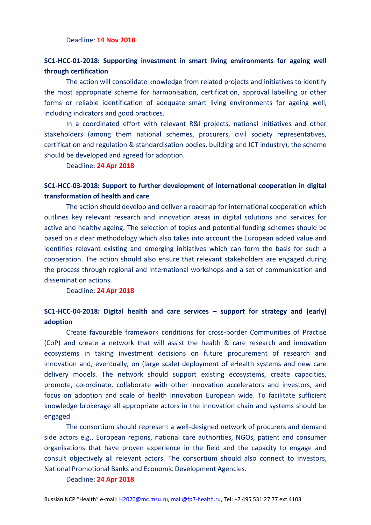#### Deadline: **14 Nov 2018**

# **SC1-HCC-01-2018: Supporting investment in smart living environments for ageing well through certification**

The action will consolidate knowledge from related projects and initiatives to identify the most appropriate scheme for harmonisation, certification, approval labelling or other forms or reliable identification of adequate smart living environments for ageing well, including indicators and good practices.

In a coordinated effort with relevant R&I projects, national initiatives and other stakeholders (among them national schemes, procurers, civil society representatives, certification and regulation & standardisation bodies, building and ICT industry), the scheme should be developed and agreed for adoption.

Deadline: **24 Apr 2018**

# **SC1-HCC-03-2018: Support to further development of international cooperation in digital transformation of health and care**

The action should develop and deliver a roadmap for international cooperation which outlines key relevant research and innovation areas in digital solutions and services for active and healthy ageing. The selection of topics and potential funding schemes should be based on a clear methodology which also takes into account the European added value and identifies relevant existing and emerging initiatives which can form the basis for such a cooperation. The action should also ensure that relevant stakeholders are engaged during the process through regional and international workshops and a set of communication and dissemination actions.

Deadline: **24 Apr 2018**

# **SC1-HCC-04-2018: Digital health and care services – support for strategy and (early) adoption**

Create favourable framework conditions for cross-border Communities of Practise (CoP) and create a network that will assist the health & care research and innovation ecosystems in taking investment decisions on future procurement of research and innovation and, eventually, on (large scale) deployment of eHealth systems and new care delivery models. The network should support existing ecosystems, create capacities, promote, co-ordinate, collaborate with other innovation accelerators and investors, and focus on adoption and scale of health innovation European wide. To facilitate sufficient knowledge brokerage all appropriate actors in the innovation chain and systems should be engaged

The consortium should represent a well-designed network of procurers and demand side actors e.g., European regions, national care authorities, NGOs, patient and consumer organisations that have proven experience in the field and the capacity to engage and consult objectively all relevant actors. The consortium should also connect to investors, National Promotional Banks and Economic Development Agencies.

#### Deadline: **24 Apr 2018**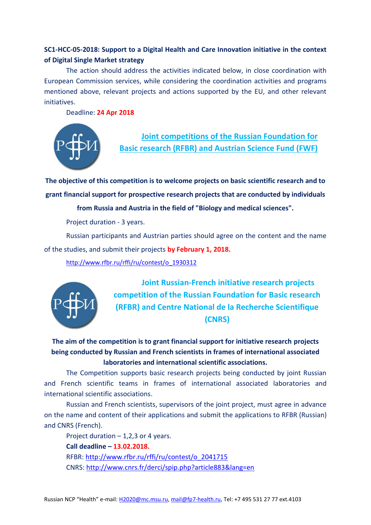# **SC1-HCC-05-2018: Support to a Digital Health and Care Innovation initiative in the context of Digital Single Market strategy**

The action should address the activities indicated below, in close coordination with European Commission services, while considering the coordination activities and programs mentioned above, relevant projects and actions supported by the EU, and other relevant initiatives.

Deadline: **24 Apr 2018**



**Joint competitions of the Russian Foundation for Basic research (RFBR) and Austrian Science Fund (FWF)**

**The objective of this competition is to welcome projects on basic scientific research and to grant financial support for prospective research projects that are conducted by individuals** 

**from Russia and Austria in the field of "Biology and medical sciences".**

Project duration - 3 years.

Russian participants and Austrian parties should agree on the content and the name of the studies, and submit their projects **by February 1, 2018.**

[http://www.rfbr.ru/rffi/ru/contest/o\\_1930312](http://www.rfbr.ru/rffi/ru/contest/o_1930312)



**Joint Russian-French initiative research projects competition of the Russian Foundation for Basic research (RFBR) and Centre National de la Recherche Scientifique (CNRS)**

**The aim of the competition is to grant financial support for initiative research projects being conducted by Russian and French scientists in frames of international associated laboratories and international scientific associations.** 

The Competition supports basic research projects being conducted by joint Russian and French scientific teams in frames of international associated laboratories and international scientific associations.

Russian and French scientists, supervisors of the joint project, must agree in advance on the name and content of their applications and submit the applications to RFBR (Russian) and CNRS (French).

Project duration  $-1.2.3$  or 4 years. **Call deadline – 13.02.2018.** RFBR: [http://www.rfbr.ru/rffi/ru/contest/o\\_2041715](http://www.rfbr.ru/rffi/ru/contest/o_2041715) CNRS: <http://www.cnrs.fr/derci/spip.php?article883&lang=en>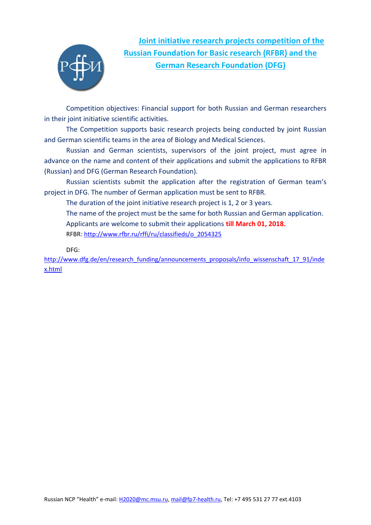

**Joint initiative research projects competition of the Russian Foundation for Basic research (RFBR) and the German Research Foundation (DFG)**

Competition objectives: Financial support for both Russian and German researchers in their joint initiative scientific activities.

The Competition supports basic research projects being conducted by joint Russian and German scientific teams in the area of Biology and Medical Sciences.

Russian and German scientists, supervisors of the joint project, must agree in advance on the name and content of their applications and submit the applications to RFBR (Russian) and DFG (German Research Foundation).

Russian scientists submit the application after the registration of German team's project in DFG. The number of German application must be sent to RFBR.

The duration of the joint initiative research project is 1, 2 or 3 years.

The name of the project must be the same for both Russian and German application. Applicants are welcome to submit their applications **till March 01, 2018.** RFBR: [http://www.rfbr.ru/rffi/ru/classifieds/o\\_2054325](http://www.rfbr.ru/rffi/ru/classifieds/o_2054325)

DFG:

[http://www.dfg.de/en/research\\_funding/announcements\\_proposals/info\\_wissenschaft\\_17\\_91/inde](http://www.dfg.de/en/research_funding/announcements_proposals/info_wissenschaft_17_91/index.html) [x.html](http://www.dfg.de/en/research_funding/announcements_proposals/info_wissenschaft_17_91/index.html)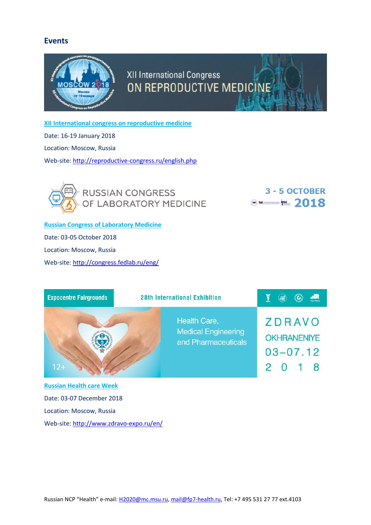### **Events**



**XII International congress on reproductive medicine**

Date: 16-19 January 2018

Location: Moscow, Russia

Web-site[: http://reproductive-congress.ru/english.php](http://reproductive-congress.ru/english.php)



3 - 5 OCTOBER  $\odot$  Monomrocom  $\frac{1}{2}$  018

**Russian Congress of Laboratory Medicine** Date: 03-05 October 2018 Location: Moscow, Russia Web-site[: http://congress.fedlab.ru/eng/](http://congress.fedlab.ru/eng/)

| <b>Expocentre Fairgrounds</b>   | <b>28th International Exhibition</b>                              | $\mathbf{R}$<br>Š                                                          |
|---------------------------------|-------------------------------------------------------------------|----------------------------------------------------------------------------|
| $12+$                           | Health Care,<br><b>Medical Engineering</b><br>and Pharmaceuticals | <b>ZDRAVO</b><br><b>OKHRANENIYE</b><br>$03 - 07.12$<br>8<br>$\overline{O}$ |
| <b>Russian Health care Week</b> |                                                                   |                                                                            |
| Date: 03-07 December 2018       |                                                                   |                                                                            |

Location: Moscow, Russia

Web-site[: http://www.zdravo-expo.ru/en/](http://www.zdravo-expo.ru/en/)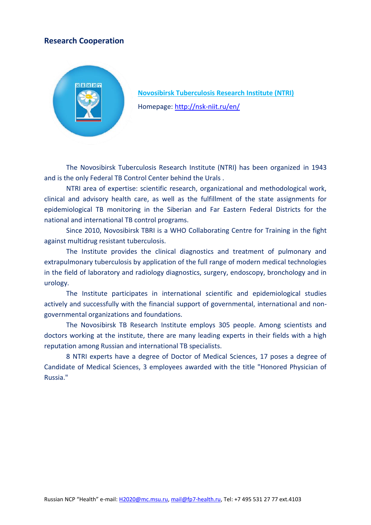# **Research Cooperation**



**Novosibirsk Tuberculosis Research Institute (NTRI)** Homepage: <http://nsk-niit.ru/en/>

The Novosibirsk Tuberculosis Research Institute (NTRI) has been organized in 1943 and is the only Federal TB Control Center behind the Urals .

NTRI area of expertise: scientific research, organizational and methodological work, clinical and advisory health care, as well as the fulfillment of the state assignments for epidemiological TB monitoring in the Siberian and Far Eastern Federal Districts for the national and international TB control programs.

Since 2010, Novosibirsk TBRI is a WHO Collaborating Centre for Training in the fight against multidrug resistant tuberculosis.

The Institute provides the clinical diagnostics and treatment of pulmonary and extrapulmonary tuberculosis by application of the full range of modern medical technologies in the field of laboratory and radiology diagnostics, surgery, endoscopy, bronchology and in urology.

The Institute participates in international scientific and epidemiological studies actively and successfully with the financial support of governmental, international and nongovernmental organizations and foundations.

The Novosibirsk TB Research Institute employs 305 people. Among scientists and doctors working at the institute, there are many leading experts in their fields with a high reputation among Russian and international TB specialists.

8 NTRI experts have a degree of Doctor of Medical Sciences, 17 poses a degree of Candidate of Medical Sciences, 3 employees awarded with the title "Honored Physician of Russia."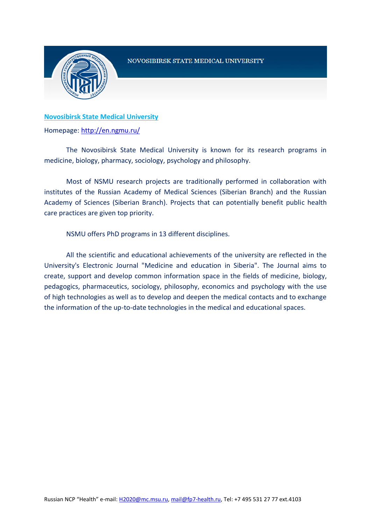

### NOVOSIBIRSK STATE MEDICAL UNIVERSITY

### **Novosibirsk State Medical University**

Homepage: <http://en.ngmu.ru/>

The Novosibirsk State Medical University is known for its research programs in medicine, biology, pharmacy, sociology, psychology and philosophy.

Most of NSMU research projects are traditionally performed in collaboration with institutes of the Russian Academy of Medical Sciences (Siberian Branch) and the Russian Academy of Sciences (Siberian Branch). Projects that can potentially benefit public health care practices are given top priority.

NSMU offers PhD programs in 13 different disciplines.

All the scientific and educational achievements of the university are reflected in the University's Electronic Journal "Medicine and education in Siberia". The Journal aims to create, support and develop common information space in the fields of medicine, biology, pedagogics, pharmaceutics, sociology, philosophy, economics and psychology with the use of high technologies as well as to develop and deepen the medical contacts and to exchange the information of the up-to-date technologies in the medical and educational spaces.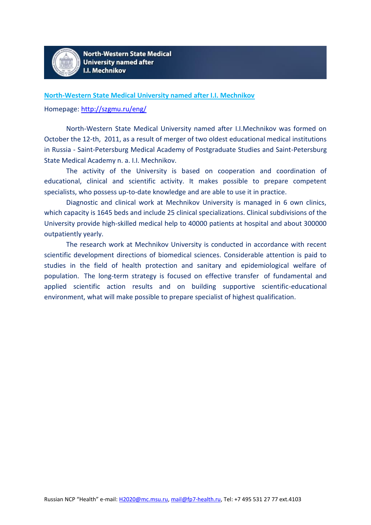

**North-Western State Medical University named after I.I. Mechnikov**

Homepage: <http://szgmu.ru/eng/>

North-Western State Medical University named after I.I.Mechnikov was formed on October the 12-th, 2011, as a result of merger of two oldest educational medical institutions in Russia - Saint-Petersburg Medical Academy of Postgraduate Studies and Saint-Petersburg State Medical Academy n. a. I.I. Mechnikov.

The activity of the University is based on cooperation and coordination of educational, clinical and scientific activity. It makes possible to prepare competent specialists, who possess up-to-date knowledge and are able to use it in practice.

Diagnostic and clinical work at Mechnikov University is managed in 6 own clinics, which capacity is 1645 beds and include 25 clinical specializations. Clinical subdivisions of the University provide high-skilled medical help to 40000 patients at hospital and about 300000 outpatiently yearly.

The research work at Mechnikov University is conducted in accordance with recent scientific development directions of biomedical sciences. Considerable attention is paid to studies in the field of health protection and sanitary and epidemiological welfare of population. The long-term strategy is focused on effective transfer of fundamental and applied scientific action results and on building supportive scientific-educational environment, what will make possible to prepare specialist of highest qualification.